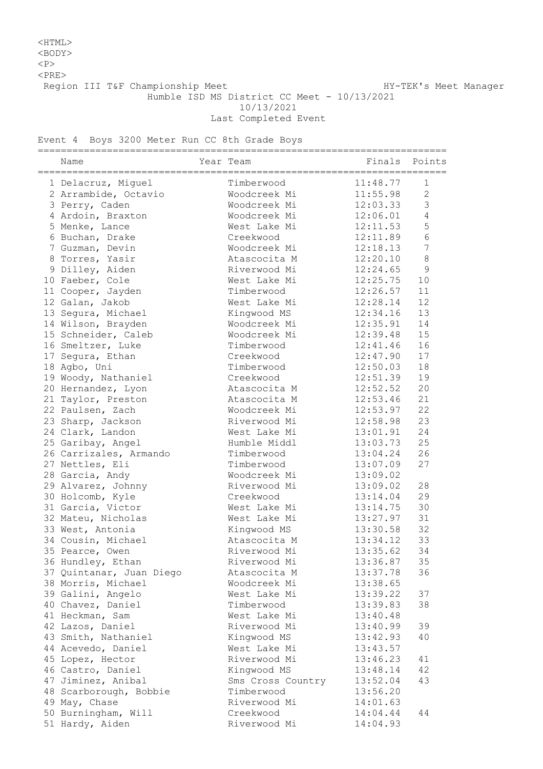## <HTML>

<BODY>

 $<sub>P</sub>$ 

 $<$ PRE $>$ 

Region III T&F Championship Meet Nanager HY-TEK's Meet Manager

Humble ISD MS District CC Meet - 10/13/2021

10/13/2021

Last Completed Event

Event 4 Boys 3200 Meter Run CC 8th Grade Boys

|   | =========<br>Name        | Year Team         | ============================ | Finals Points  |
|---|--------------------------|-------------------|------------------------------|----------------|
|   | 1 Delacruz, Miguel       | Timberwood        | 11:48.77                     | 1              |
|   | 2 Arrambide, Octavio     | Woodcreek Mi      | 11:55.98                     | 2              |
|   | 3 Perry, Caden           | Woodcreek Mi      | 12:03.33                     | 3              |
|   | 4 Ardoin, Braxton        | Woodcreek Mi      | 12:06.01                     | $\overline{4}$ |
|   | 5 Menke, Lance           | West Lake Mi      | 12:11.53                     | 5              |
|   | 6 Buchan, Drake          | Creekwood         | 12:11.89                     | 6              |
|   | 7 Guzman, Devin          | Woodcreek Mi      | 12:18.13                     | 7              |
|   | 8 Torres, Yasir          | Atascocita M      | 12:20.10                     | $\,8\,$        |
| 9 | Dilley, Aiden            | Riverwood Mi      | 12:24.65                     | 9              |
|   | 10 Faeber, Cole          | West Lake Mi      | 12:25.75                     | 10             |
|   | 11 Cooper, Jayden        | Timberwood        | 12:26.57                     | 11             |
|   | 12 Galan, Jakob          | West Lake Mi      | 12:28.14                     | 12             |
|   | 13 Segura, Michael       | Kingwood MS       | 12:34.16                     | 13             |
|   | 14 Wilson, Brayden       | Woodcreek Mi      | 12:35.91                     | 14             |
|   | 15 Schneider, Caleb      | Woodcreek Mi      | 12:39.48                     | 15             |
|   | 16 Smeltzer, Luke        | Timberwood        | 12:41.46                     | 16             |
|   | 17 Segura, Ethan         | Creekwood         | 12:47.90                     | 17             |
|   | 18 Agbo, Uni             | Timberwood        | 12:50.03                     | 18             |
|   | 19 Woody, Nathaniel      | Creekwood         | 12:51.39                     | 19             |
|   | 20 Hernandez, Lyon       | Atascocita M      | 12:52.52                     | 20             |
|   | 21 Taylor, Preston       | Atascocita M      | 12:53.46                     | 21             |
|   | 22 Paulsen, Zach         | Woodcreek Mi      | 12:53.97                     | 22             |
|   | 23 Sharp, Jackson        | Riverwood Mi      | 12:58.98                     | 23             |
|   | 24 Clark, Landon         | West Lake Mi      | 13:01.91                     | 24             |
|   | 25 Garibay, Angel        | Humble Middl      | 13:03.73                     | 25             |
|   | 26 Carrizales, Armando   | Timberwood        | 13:04.24                     | 26             |
|   | 27 Nettles, Eli          | Timberwood        | 13:07.09                     | 27             |
|   | 28 Garcia, Andy          | Woodcreek Mi      | 13:09.02                     |                |
|   | 29 Alvarez, Johnny       | Riverwood Mi      | 13:09.02                     | 28             |
|   | 30 Holcomb, Kyle         | Creekwood         | 13:14.04                     | 29             |
|   | 31 Garcia, Victor        | West Lake Mi      | 13:14.75                     | 30             |
|   | 32 Mateu, Nicholas       | West Lake Mi      | 13:27.97                     | 31             |
|   | 33 West, Antonia         | Kingwood MS       | 13:30.58                     | 32             |
|   | 34 Cousin, Michael       | Atascocita M      | 13:34.12                     | 33             |
|   | 35 Pearce, Owen          | Riverwood Mi      | 13:35.62                     | 34             |
|   | 36 Hundley, Ethan        | Riverwood Mi      | 13:36.87                     | 35             |
|   | 37 Quintanar, Juan Diego | Atascocita M      | 13:37.78                     | 36             |
|   | 38 Morris, Michael       | Woodcreek Mi      | 13:38.65                     |                |
|   | 39 Galini, Angelo        | West Lake Mi      | 13:39.22                     | 37             |
|   | 40 Chavez, Daniel        | Timberwood        | 13:39.83                     | 38             |
|   | 41 Heckman, Sam          | West Lake Mi      | 13:40.48                     |                |
|   | 42 Lazos, Daniel         | Riverwood Mi      | 13:40.99                     | 39             |
|   | 43 Smith, Nathaniel      | Kingwood MS       | 13:42.93                     | 40             |
|   | 44 Acevedo, Daniel       | West Lake Mi      | 13:43.57                     |                |
|   | 45 Lopez, Hector         | Riverwood Mi      | 13:46.23                     | 41             |
|   | 46 Castro, Daniel        | Kingwood MS       | 13:48.14                     | 42             |
|   | 47 Jiminez, Anibal       | Sms Cross Country | 13:52.04                     | 43             |
|   | 48 Scarborough, Bobbie   | Timberwood        | 13:56.20                     |                |
|   | 49 May, Chase            | Riverwood Mi      | 14:01.63                     |                |
|   | 50 Burningham, Will      | Creekwood         | 14:04.44                     | 44             |
|   | 51 Hardy, Aiden          | Riverwood Mi      | 14:04.93                     |                |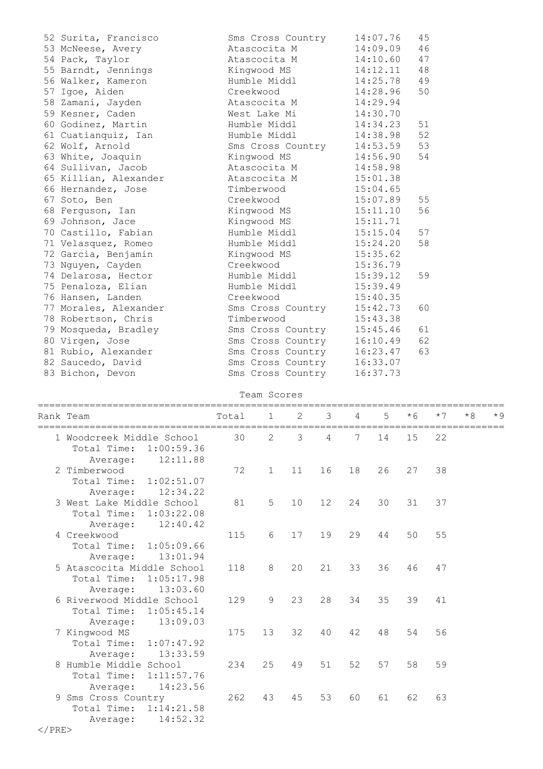| 52 Surita, Francisco  | Sms Cross Country | 14:07.76 | 45 |
|-----------------------|-------------------|----------|----|
| 53 McNeese, Avery     | Atascocita M      | 14:09.09 | 46 |
| 54 Pack, Taylor       | Atascocita M      | 14:10.60 | 47 |
| 55 Barndt, Jennings   | Kingwood MS       | 14:12.11 | 48 |
| 56 Walker, Kameron    | Humble Middl      | 14:25.78 | 49 |
| 57 Igoe, Aiden        | Creekwood         | 14:28.96 | 50 |
| 58 Zamani, Jayden     | Atascocita M      | 14:29.94 |    |
| 59 Kesner, Caden      | West Lake Mi      | 14:30.70 |    |
| 60 Godinez, Martin    | Humble Middl      | 14:34.23 | 51 |
| 61 Cuatianquiz, Ian   | Humble Middl      | 14:38.98 | 52 |
| 62 Wolf, Arnold       | Sms Cross Country | 14:53.59 | 53 |
| 63 White, Joaquin     | Kingwood MS       | 14:56.90 | 54 |
| 64 Sullivan, Jacob    | Atascocita M      | 14:58.98 |    |
| 65 Killian, Alexander | Atascocita M      | 15:01.38 |    |
| 66 Hernandez, Jose    | Timberwood        | 15:04.65 |    |
| 67 Soto, Ben          | Creekwood         | 15:07.89 | 55 |
| 68 Ferquson, Ian      | Kingwood MS       | 15:11.10 | 56 |
| 69 Johnson, Jace      | Kingwood MS       | 15:11.71 |    |
| 70 Castillo, Fabian   | Humble Middl      | 15:15.04 | 57 |
| 71 Velasquez, Romeo   | Humble Middl      | 15:24.20 | 58 |
| 72 Garcia, Benjamin   | Kingwood MS       | 15:35.62 |    |
| 73 Nguyen, Cayden     | Creekwood         | 15:36.79 |    |
| 74 Delarosa, Hector   | Humble Middl      | 15:39.12 | 59 |
| 75 Penaloza, Elian    | Humble Middl      | 15:39.49 |    |
| 76 Hansen, Landen     | Creekwood         | 15:40.35 |    |
| 77 Morales, Alexander | Sms Cross Country | 15:42.73 | 60 |
| 78 Robertson, Chris   | Timberwood        | 15:43.38 |    |
| 79 Mosqueda, Bradley  | Sms Cross Country | 15:45.46 | 61 |
| 80 Virgen, Jose       | Sms Cross Country | 16:10.49 | 62 |
| 81 Rubio, Alexander   | Sms Cross Country | 16:23.47 | 63 |
| 82 Saucedo, David     | Sms Cross Country | 16:33.07 |    |
| 83 Bichon, Devon      | Sms Cross Country | 16:37.73 |    |

| Team Scores |  |  |  |  |  |
|-------------|--|--|--|--|--|
|-------------|--|--|--|--|--|

| Rank Team                                                                       | Total | $\mathbf{1}$   | $\overline{2}$ | 3  | 4  | 5  | $*6$ | $*7$ | $*8$ | $\star$ 9 |
|---------------------------------------------------------------------------------|-------|----------------|----------------|----|----|----|------|------|------|-----------|
| 1 Woodcreek Middle School<br>Total Time:<br>1:00:59.36<br>12:11.88<br>Average:  | 30    | $\overline{2}$ | 3              | 4  | 7  | 14 | 15   | 22   |      |           |
| 2 Timberwood<br>Total Time: 1:02:51.07<br>12:34.22<br>Average:                  | 72    | $\mathbf{1}$   | 11             | 16 | 18 | 26 | 27   | 38   |      |           |
| 3 West Lake Middle School<br>Total Time: 1:03:22.08<br>12:40.42<br>Average:     | 81    | 5              | 10             | 12 | 24 | 30 | 31   | 37   |      |           |
| 4 Creekwood<br>Total Time:<br>1:05:09.66<br>13:01.94<br>Average:                | 115   | 6              | 17             | 19 | 29 | 44 | 50   | 55   |      |           |
| 5 Atascocita Middle School<br>Total Time:<br>1:05:17.98<br>13:03.60<br>Average: | 118   | 8              | 20             | 21 | 33 | 36 | 46   | 47   |      |           |
| 6 Riverwood Middle School<br>1:05:45.14<br>Total Time:<br>13:09.03<br>Average:  | 129   | 9              | 23             | 28 | 34 | 35 | 39   | 41   |      |           |
| 7 Kingwood MS<br>Total Time: 1:07:47.92<br>13:33.59<br>Average:                 | 175   | 13             | 32             | 40 | 42 | 48 | 54   | 56   |      |           |
| 8 Humble Middle School<br>Total Time:<br>1:11:57.76<br>14:23.56<br>Average:     | 234   | 25             | 49             | 51 | 52 | 57 | 58   | 59   |      |           |
| 9 Sms Cross Country<br>Total Time: 1:14:21.58<br>14:52.32<br>Average:           | 262   | 43             | 45             | 53 | 60 | 61 | 62   | 63   |      |           |